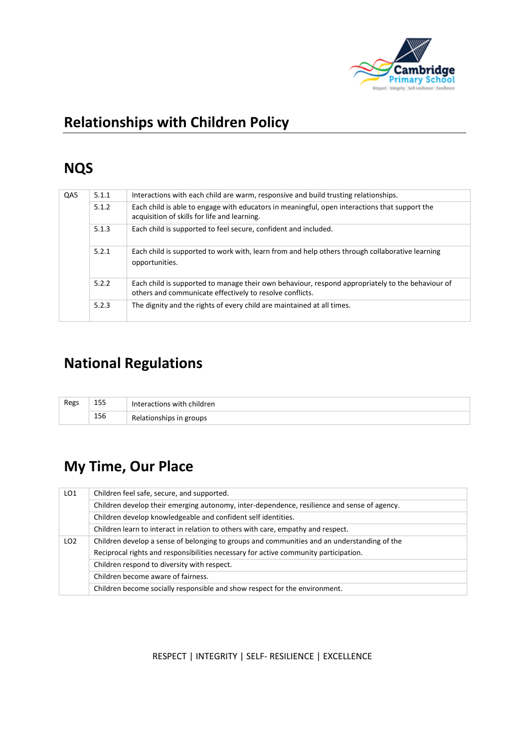

# **Relationships with Children Policy**

## **NQS**

| QA5 | 5.1.1 | Interactions with each child are warm, responsive and build trusting relationships.                                                                          |
|-----|-------|--------------------------------------------------------------------------------------------------------------------------------------------------------------|
|     | 5.1.2 | Each child is able to engage with educators in meaningful, open interactions that support the<br>acquisition of skills for life and learning.                |
|     | 5.1.3 | Each child is supported to feel secure, confident and included.                                                                                              |
|     | 5.2.1 | Each child is supported to work with, learn from and help others through collaborative learning<br>opportunities.                                            |
|     | 5.2.2 | Each child is supported to manage their own behaviour, respond appropriately to the behaviour of<br>others and communicate effectively to resolve conflicts. |
|     | 5.2.3 | The dignity and the rights of every child are maintained at all times.                                                                                       |

## **National Regulations**

| 155<br>Regs |     | Interactions with children |
|-------------|-----|----------------------------|
|             | 156 | Relationships in groups    |

# **My Time, Our Place**

| LO <sub>1</sub> | Children feel safe, secure, and supported.                                                  |  |  |  |
|-----------------|---------------------------------------------------------------------------------------------|--|--|--|
|                 | Children develop their emerging autonomy, inter-dependence, resilience and sense of agency. |  |  |  |
|                 | Children develop knowledgeable and confident self identities.                               |  |  |  |
|                 | Children learn to interact in relation to others with care, empathy and respect.            |  |  |  |
| LO <sub>2</sub> | Children develop a sense of belonging to groups and communities and an understanding of the |  |  |  |
|                 | Reciprocal rights and responsibilities necessary for active community participation.        |  |  |  |
|                 | Children respond to diversity with respect.                                                 |  |  |  |
|                 | Children become aware of fairness.                                                          |  |  |  |
|                 | Children become socially responsible and show respect for the environment.                  |  |  |  |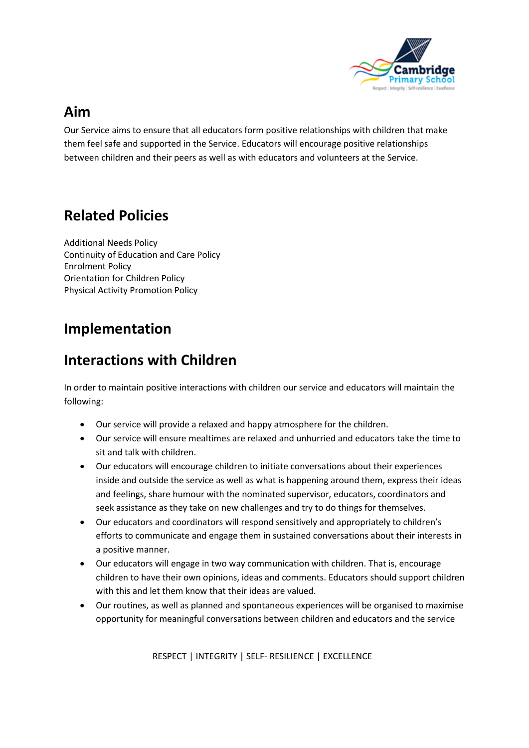

#### **Aim**

Our Service aims to ensure that all educators form positive relationships with children that make them feel safe and supported in the Service. Educators will encourage positive relationships between children and their peers as well as with educators and volunteers at the Service.

## **Related Policies**

Additional Needs Policy Continuity of Education and Care Policy Enrolment Policy Orientation for Children Policy Physical Activity Promotion Policy

### **Implementation**

### **Interactions with Children**

In order to maintain positive interactions with children our service and educators will maintain the following:

- Our service will provide a relaxed and happy atmosphere for the children.
- Our service will ensure mealtimes are relaxed and unhurried and educators take the time to sit and talk with children.
- Our educators will encourage children to initiate conversations about their experiences inside and outside the service as well as what is happening around them, express their ideas and feelings, share humour with the nominated supervisor, educators, coordinators and seek assistance as they take on new challenges and try to do things for themselves.
- Our educators and coordinators will respond sensitively and appropriately to children's efforts to communicate and engage them in sustained conversations about their interests in a positive manner.
- Our educators will engage in two way communication with children. That is, encourage children to have their own opinions, ideas and comments. Educators should support children with this and let them know that their ideas are valued.
- Our routines, as well as planned and spontaneous experiences will be organised to maximise opportunity for meaningful conversations between children and educators and the service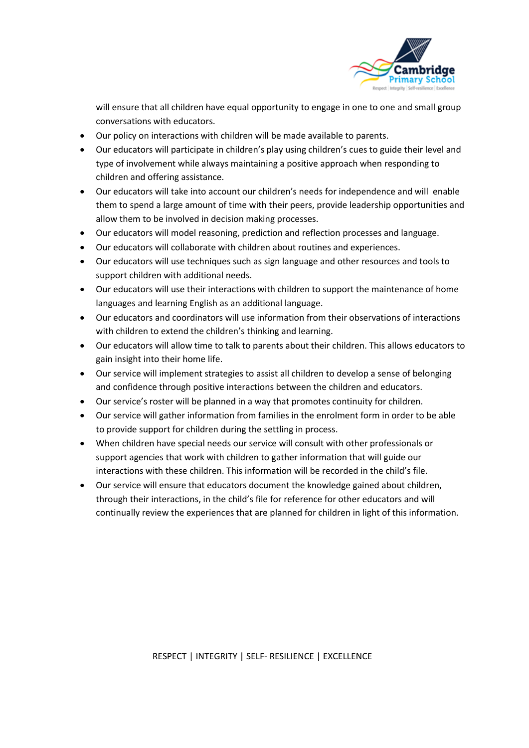

will ensure that all children have equal opportunity to engage in one to one and small group conversations with educators.

- Our policy on interactions with children will be made available to parents.
- Our educators will participate in children's play using children's cues to guide their level and type of involvement while always maintaining a positive approach when responding to children and offering assistance.
- Our educators will take into account our children's needs for independence and will enable them to spend a large amount of time with their peers, provide leadership opportunities and allow them to be involved in decision making processes.
- Our educators will model reasoning, prediction and reflection processes and language.
- Our educators will collaborate with children about routines and experiences.
- Our educators will use techniques such as sign language and other resources and tools to support children with additional needs.
- Our educators will use their interactions with children to support the maintenance of home languages and learning English as an additional language.
- Our educators and coordinators will use information from their observations of interactions with children to extend the children's thinking and learning.
- Our educators will allow time to talk to parents about their children. This allows educators to gain insight into their home life.
- Our service will implement strategies to assist all children to develop a sense of belonging and confidence through positive interactions between the children and educators.
- Our service's roster will be planned in a way that promotes continuity for children.
- Our service will gather information from families in the enrolment form in order to be able to provide support for children during the settling in process.
- When children have special needs our service will consult with other professionals or support agencies that work with children to gather information that will guide our interactions with these children. This information will be recorded in the child's file.
- Our service will ensure that educators document the knowledge gained about children, through their interactions, in the child's file for reference for other educators and will continually review the experiences that are planned for children in light of this information.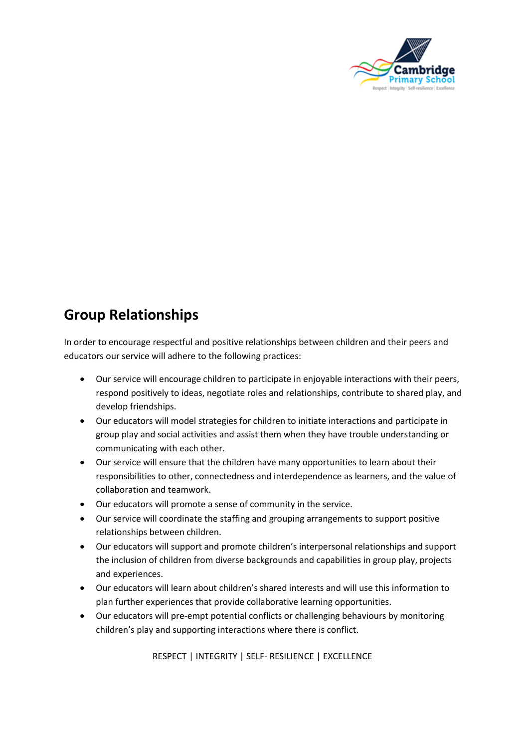

### **Group Relationships**

In order to encourage respectful and positive relationships between children and their peers and educators our service will adhere to the following practices:

- Our service will encourage children to participate in enjoyable interactions with their peers, respond positively to ideas, negotiate roles and relationships, contribute to shared play, and develop friendships.
- Our educators will model strategies for children to initiate interactions and participate in group play and social activities and assist them when they have trouble understanding or communicating with each other.
- Our service will ensure that the children have many opportunities to learn about their responsibilities to other, connectedness and interdependence as learners, and the value of collaboration and teamwork.
- Our educators will promote a sense of community in the service.
- Our service will coordinate the staffing and grouping arrangements to support positive relationships between children.
- Our educators will support and promote children's interpersonal relationships and support the inclusion of children from diverse backgrounds and capabilities in group play, projects and experiences.
- Our educators will learn about children's shared interests and will use this information to plan further experiences that provide collaborative learning opportunities.
- Our educators will pre-empt potential conflicts or challenging behaviours by monitoring children's play and supporting interactions where there is conflict.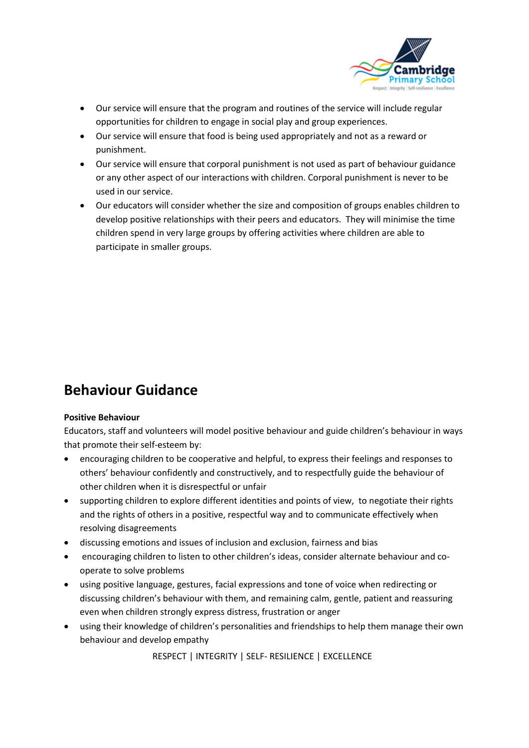

- Our service will ensure that the program and routines of the service will include regular opportunities for children to engage in social play and group experiences.
- Our service will ensure that food is being used appropriately and not as a reward or punishment.
- Our service will ensure that corporal punishment is not used as part of behaviour guidance or any other aspect of our interactions with children. Corporal punishment is never to be used in our service.
- Our educators will consider whether the size and composition of groups enables children to develop positive relationships with their peers and educators. They will minimise the time children spend in very large groups by offering activities where children are able to participate in smaller groups.

## **Behaviour Guidance**

#### **Positive Behaviour**

Educators, staff and volunteers will model positive behaviour and guide children's behaviour in ways that promote their self-esteem by:

- encouraging children to be cooperative and helpful, to express their feelings and responses to others' behaviour confidently and constructively, and to respectfully guide the behaviour of other children when it is disrespectful or unfair
- supporting children to explore different identities and points of view, to negotiate their rights and the rights of others in a positive, respectful way and to communicate effectively when resolving disagreements
- discussing emotions and issues of inclusion and exclusion, fairness and bias
- encouraging children to listen to other children's ideas, consider alternate behaviour and cooperate to solve problems
- using positive language, gestures, facial expressions and tone of voice when redirecting or discussing children's behaviour with them, and remaining calm, gentle, patient and reassuring even when children strongly express distress, frustration or anger
- using their knowledge of children's personalities and friendships to help them manage their own behaviour and develop empathy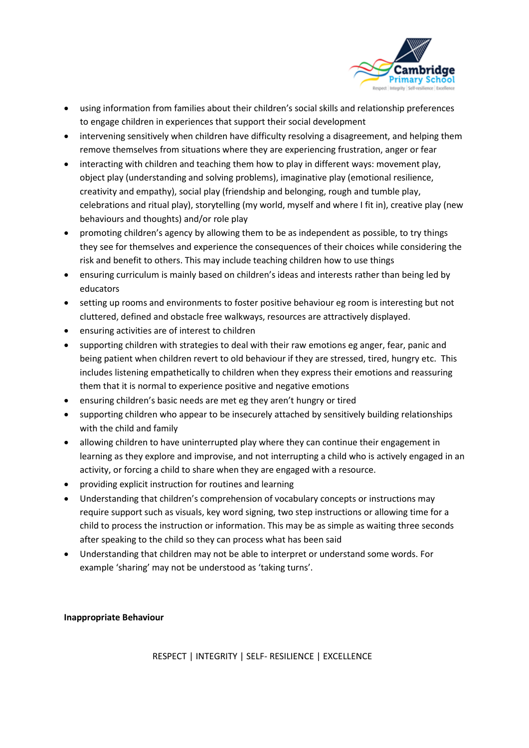

- using information from families about their children's social skills and relationship preferences to engage children in experiences that support their social development
- intervening sensitively when children have difficulty resolving a disagreement, and helping them remove themselves from situations where they are experiencing frustration, anger or fear
- interacting with children and teaching them how to play in different ways: movement play, object play (understanding and solving problems), imaginative play (emotional resilience, creativity and empathy), social play (friendship and belonging, rough and tumble play, celebrations and ritual play), storytelling (my world, myself and where I fit in), creative play (new behaviours and thoughts) and/or role play
- promoting children's agency by allowing them to be as independent as possible, to try things they see for themselves and experience the consequences of their choices while considering the risk and benefit to others. This may include teaching children how to use things
- ensuring curriculum is mainly based on children's ideas and interests rather than being led by educators
- setting up rooms and environments to foster positive behaviour eg room is interesting but not cluttered, defined and obstacle free walkways, resources are attractively displayed.
- ensuring activities are of interest to children
- supporting children with strategies to deal with their raw emotions eg anger, fear, panic and being patient when children revert to old behaviour if they are stressed, tired, hungry etc. This includes listening empathetically to children when they express their emotions and reassuring them that it is normal to experience positive and negative emotions
- ensuring children's basic needs are met eg they aren't hungry or tired
- supporting children who appear to be insecurely attached by sensitively building relationships with the child and family
- allowing children to have uninterrupted play where they can continue their engagement in learning as they explore and improvise, and not interrupting a child who is actively engaged in an activity, or forcing a child to share when they are engaged with a resource.
- providing explicit instruction for routines and learning
- Understanding that children's comprehension of vocabulary concepts or instructions may require support such as visuals, key word signing, two step instructions or allowing time for a child to process the instruction or information. This may be as simple as waiting three seconds after speaking to the child so they can process what has been said
- Understanding that children may not be able to interpret or understand some words. For example 'sharing' may not be understood as 'taking turns'.

#### **Inappropriate Behaviour**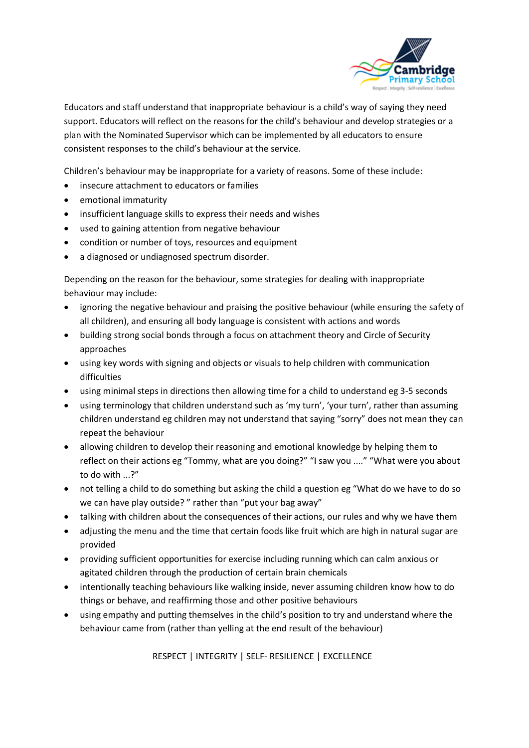

Educators and staff understand that inappropriate behaviour is a child's way of saying they need support. Educators will reflect on the reasons for the child's behaviour and develop strategies or a plan with the Nominated Supervisor which can be implemented by all educators to ensure consistent responses to the child's behaviour at the service.

Children's behaviour may be inappropriate for a variety of reasons. Some of these include:

- insecure attachment to educators or families
- emotional immaturity
- insufficient language skills to express their needs and wishes
- used to gaining attention from negative behaviour
- condition or number of toys, resources and equipment
- a diagnosed or undiagnosed spectrum disorder.

Depending on the reason for the behaviour, some strategies for dealing with inappropriate behaviour may include:

- ignoring the negative behaviour and praising the positive behaviour (while ensuring the safety of all children), and ensuring all body language is consistent with actions and words
- building strong social bonds through a focus on attachment theory and Circle of Security approaches
- using key words with signing and objects or visuals to help children with communication difficulties
- using minimal steps in directions then allowing time for a child to understand eg 3-5 seconds
- using terminology that children understand such as 'my turn', 'your turn', rather than assuming children understand eg children may not understand that saying "sorry" does not mean they can repeat the behaviour
- allowing children to develop their reasoning and emotional knowledge by helping them to reflect on their actions eg "Tommy, what are you doing?" "I saw you ...." "What were you about to do with ...?"
- not telling a child to do something but asking the child a question eg "What do we have to do so we can have play outside? " rather than "put your bag away"
- talking with children about the consequences of their actions, our rules and why we have them
- adjusting the menu and the time that certain foods like fruit which are high in natural sugar are provided
- providing sufficient opportunities for exercise including running which can calm anxious or agitated children through the production of certain brain chemicals
- intentionally teaching behaviours like walking inside, never assuming children know how to do things or behave, and reaffirming those and other positive behaviours
- using empathy and putting themselves in the child's position to try and understand where the behaviour came from (rather than yelling at the end result of the behaviour)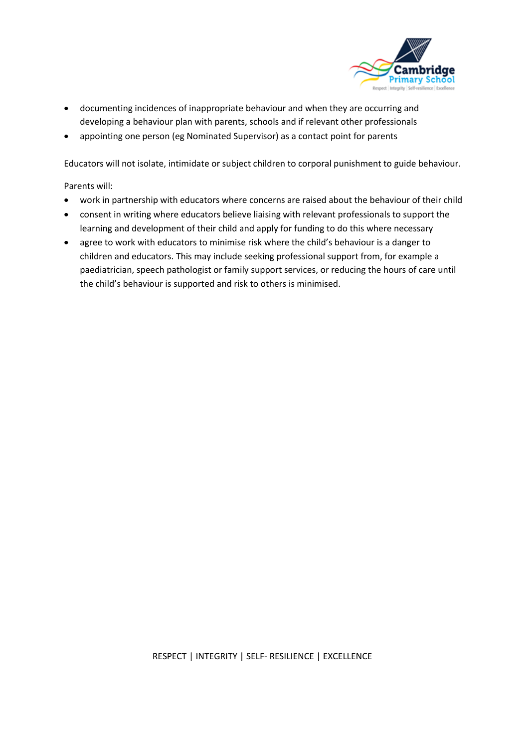

- documenting incidences of inappropriate behaviour and when they are occurring and developing a behaviour plan with parents, schools and if relevant other professionals
- appointing one person (eg Nominated Supervisor) as a contact point for parents

Educators will not isolate, intimidate or subject children to corporal punishment to guide behaviour.

Parents will:

- work in partnership with educators where concerns are raised about the behaviour of their child
- consent in writing where educators believe liaising with relevant professionals to support the learning and development of their child and apply for funding to do this where necessary
- agree to work with educators to minimise risk where the child's behaviour is a danger to children and educators. This may include seeking professional support from, for example a paediatrician, speech pathologist or family support services, or reducing the hours of care until the child's behaviour is supported and risk to others is minimised.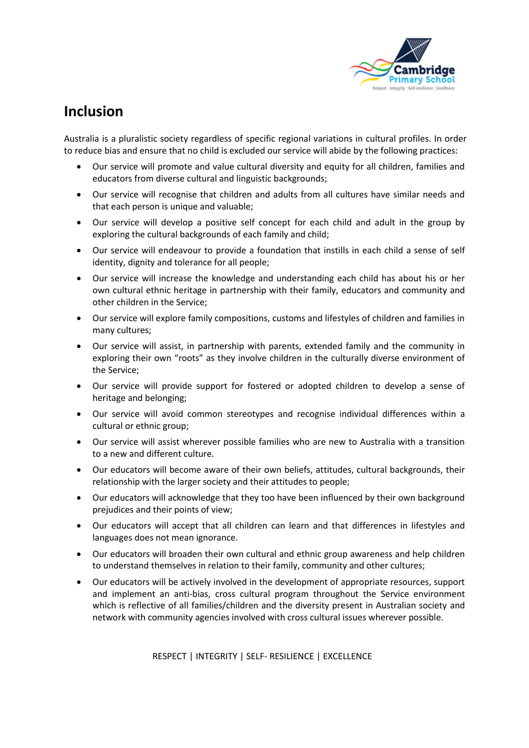

### **Inclusion**

Australia is a pluralistic society regardless of specific regional variations in cultural profiles. In order to reduce bias and ensure that no child is excluded our service will abide by the following practices:

- Our service will promote and value cultural diversity and equity for all children, families and educators from diverse cultural and linguistic backgrounds;
- Our service will recognise that children and adults from all cultures have similar needs and that each person is unique and valuable;
- Our service will develop a positive self concept for each child and adult in the group by exploring the cultural backgrounds of each family and child;
- Our service will endeavour to provide a foundation that instills in each child a sense of self identity, dignity and tolerance for all people;
- Our service will increase the knowledge and understanding each child has about his or her own cultural ethnic heritage in partnership with their family, educators and community and other children in the Service;
- Our service will explore family compositions, customs and lifestyles of children and families in many cultures;
- Our service will assist, in partnership with parents, extended family and the community in exploring their own "roots" as they involve children in the culturally diverse environment of the Service;
- Our service will provide support for fostered or adopted children to develop a sense of heritage and belonging;
- Our service will avoid common stereotypes and recognise individual differences within a cultural or ethnic group;
- Our service will assist wherever possible families who are new to Australia with a transition to a new and different culture.
- Our educators will become aware of their own beliefs, attitudes, cultural backgrounds, their relationship with the larger society and their attitudes to people;
- Our educators will acknowledge that they too have been influenced by their own background prejudices and their points of view;
- Our educators will accept that all children can learn and that differences in lifestyles and languages does not mean ignorance.
- Our educators will broaden their own cultural and ethnic group awareness and help children to understand themselves in relation to their family, community and other cultures;
- Our educators will be actively involved in the development of appropriate resources, support and implement an anti-bias, cross cultural program throughout the Service environment which is reflective of all families/children and the diversity present in Australian society and network with community agencies involved with cross cultural issues wherever possible.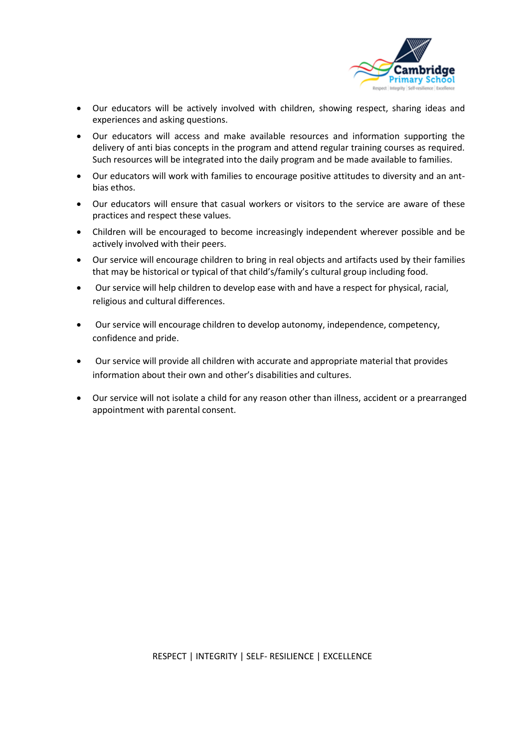

- Our educators will be actively involved with children, showing respect, sharing ideas and experiences and asking questions.
- Our educators will access and make available resources and information supporting the delivery of anti bias concepts in the program and attend regular training courses as required. Such resources will be integrated into the daily program and be made available to families.
- Our educators will work with families to encourage positive attitudes to diversity and an antbias ethos.
- Our educators will ensure that casual workers or visitors to the service are aware of these practices and respect these values.
- Children will be encouraged to become increasingly independent wherever possible and be actively involved with their peers.
- Our service will encourage children to bring in real objects and artifacts used by their families that may be historical or typical of that child's/family's cultural group including food.
- Our service will help children to develop ease with and have a respect for physical, racial, religious and cultural differences.
- Our service will encourage children to develop autonomy, independence, competency, confidence and pride.
- Our service will provide all children with accurate and appropriate material that provides information about their own and other's disabilities and cultures.
- Our service will not isolate a child for any reason other than illness, accident or a prearranged appointment with parental consent.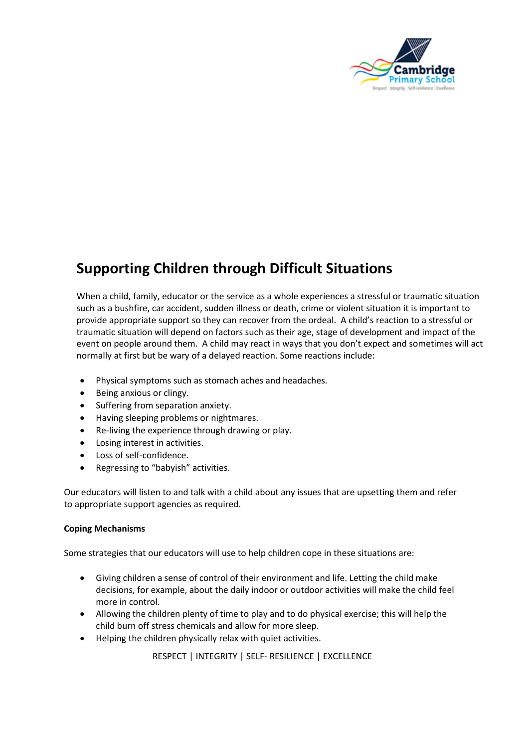

## **Supporting Children through Difficult Situations**

When a child, family, educator or the service as a whole experiences a stressful or traumatic situation such as a bushfire, car accident, sudden illness or death, crime or violent situation it is important to provide appropriate support so they can recover from the ordeal. A child's reaction to a stressful or traumatic situation will depend on factors such as their age, stage of development and impact of the event on people around them. A child may react in ways that you don't expect and sometimes will act normally at first but be wary of a delayed reaction. Some reactions include:

- Physical symptoms such as stomach aches and headaches.
- Being anxious or clingy.
- Suffering from separation anxiety.
- Having sleeping problems or nightmares.
- Re-living the experience through drawing or play.
- Losing interest in activities.
- Loss of self-confidence.
- Regressing to "babyish" activities.

Our educators will listen to and talk with a child about any issues that are upsetting them and refer to appropriate support agencies as required.

#### **Coping Mechanisms**

Some strategies that our educators will use to help children cope in these situations are:

- Giving children a sense of control of their environment and life. Letting the child make decisions, for example, about the daily indoor or outdoor activities will make the child feel more in control.
- Allowing the children plenty of time to play and to do physical exercise; this will help the child burn off stress chemicals and allow for more sleep.
- Helping the children physically relax with quiet activities.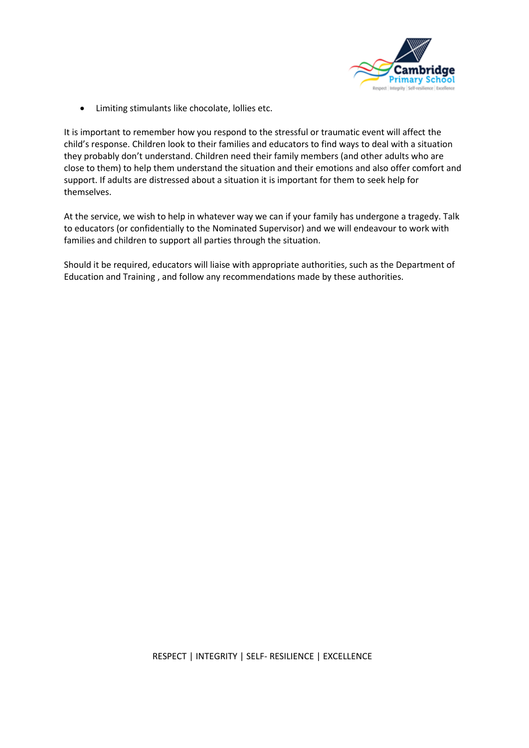

• Limiting stimulants like chocolate, lollies etc.

It is important to remember how you respond to the stressful or traumatic event will affect the child's response. Children look to their families and educators to find ways to deal with a situation they probably don't understand. Children need their family members (and other adults who are close to them) to help them understand the situation and their emotions and also offer comfort and support. If adults are distressed about a situation it is important for them to seek help for themselves.

At the service, we wish to help in whatever way we can if your family has undergone a tragedy. Talk to educators (or confidentially to the Nominated Supervisor) and we will endeavour to work with families and children to support all parties through the situation.

Should it be required, educators will liaise with appropriate authorities, such as the Department of Education and Training , and follow any recommendations made by these authorities.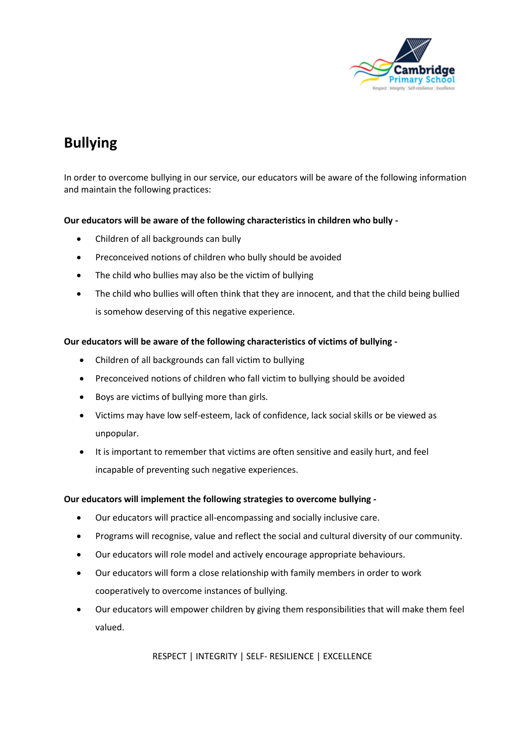

# **Bullying**

In order to overcome bullying in our service, our educators will be aware of the following information and maintain the following practices:

#### **Our educators will be aware of the following characteristics in children who bully -**

- Children of all backgrounds can bully
- Preconceived notions of children who bully should be avoided
- The child who bullies may also be the victim of bullying
- The child who bullies will often think that they are innocent, and that the child being bullied is somehow deserving of this negative experience.

#### **Our educators will be aware of the following characteristics of victims of bullying -**

- Children of all backgrounds can fall victim to bullying
- Preconceived notions of children who fall victim to bullying should be avoided
- Boys are victims of bullying more than girls.
- Victims may have low self-esteem, lack of confidence, lack social skills or be viewed as unpopular.
- It is important to remember that victims are often sensitive and easily hurt, and feel incapable of preventing such negative experiences.

#### **Our educators will implement the following strategies to overcome bullying -**

- Our educators will practice all-encompassing and socially inclusive care.
- Programs will recognise, value and reflect the social and cultural diversity of our community.
- Our educators will role model and actively encourage appropriate behaviours.
- Our educators will form a close relationship with family members in order to work cooperatively to overcome instances of bullying.
- Our educators will empower children by giving them responsibilities that will make them feel valued.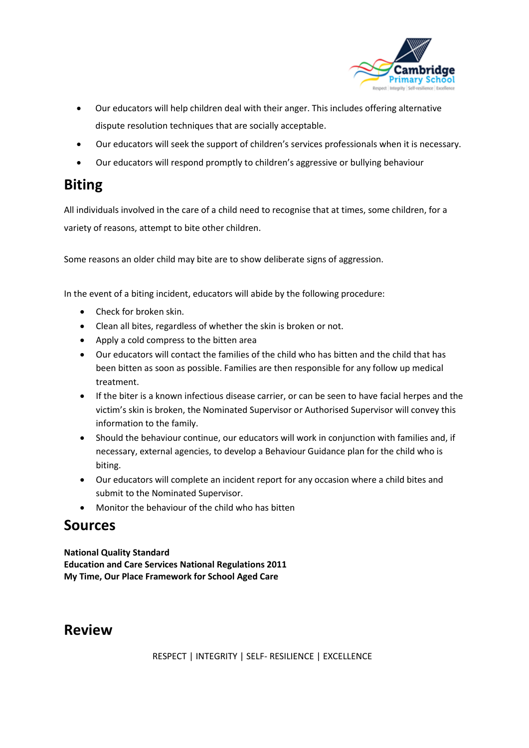

- Our educators will help children deal with their anger. This includes offering alternative dispute resolution techniques that are socially acceptable.
- Our educators will seek the support of children's services professionals when it is necessary.
- Our educators will respond promptly to children's aggressive or bullying behaviour

#### **Biting**

All individuals involved in the care of a child need to recognise that at times, some children, for a variety of reasons, attempt to bite other children.

Some reasons an older child may bite are to show deliberate signs of aggression.

In the event of a biting incident, educators will abide by the following procedure:

- Check for broken skin.
- Clean all bites, regardless of whether the skin is broken or not.
- Apply a cold compress to the bitten area
- Our educators will contact the families of the child who has bitten and the child that has been bitten as soon as possible. Families are then responsible for any follow up medical treatment.
- If the biter is a known infectious disease carrier, or can be seen to have facial herpes and the victim's skin is broken, the Nominated Supervisor or Authorised Supervisor will convey this information to the family.
- Should the behaviour continue, our educators will work in conjunction with families and, if necessary, external agencies, to develop a Behaviour Guidance plan for the child who is biting.
- Our educators will complete an incident report for any occasion where a child bites and submit to the Nominated Supervisor.
- Monitor the behaviour of the child who has bitten

#### **Sources**

**National Quality Standard Education and Care Services National Regulations 2011 My Time, Our Place Framework for School Aged Care**

#### **Review**